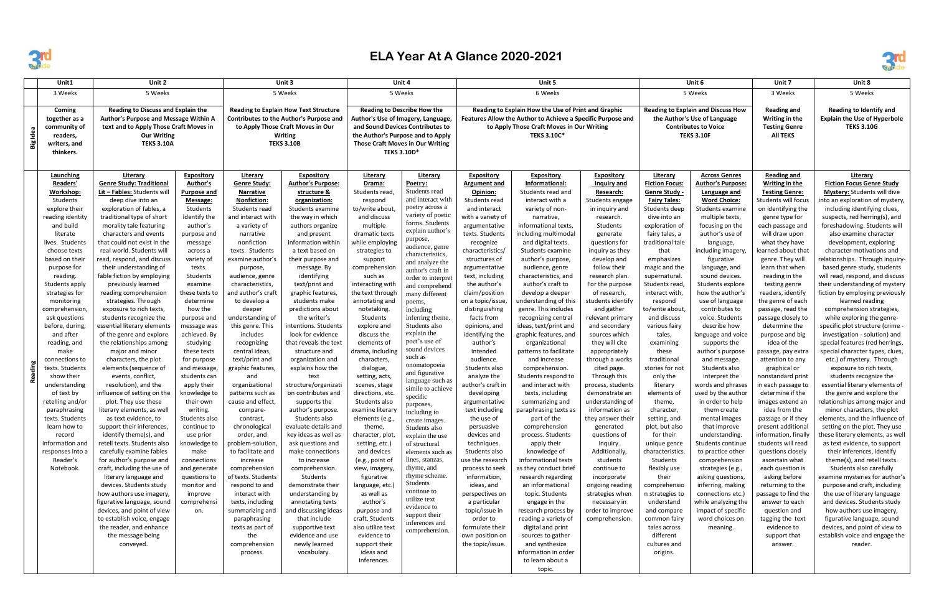

## **ELA Year At A Glance 2020-2021**

| Unit1                                                                                                                                                                                                                                                                                                                                                                                                                                                                                                                                                                                  | Unit 2                                                                                                                                                                                                                                                                                                                                                                                                                                                                                                                                                                                                                                                                                                                                                                                                                                                                                                                                                                                                                                                                                                                                                                                                                            |                                                                                                                                                                                                                                                                                                                                                                                                                                                                                                                                                                                            | Unit 3                                                                                                                                                                                                                                                                                                                                                                                                                                                                                                                                                                                                                                                                                                                                                                                                   |                                                                                                                                                                                                                                                                                                                                                                                                                                                                                                                                                                                                                                                                                                                                                                                                                                                                                                                | Unit 4                                                                                                                                                                                                                                                                                                                                                                                                                                                                                                                                                                                                                                                                                                                                                                           |                                                                                                                                                                                                                                                                                                                                                                                                                                                                                                                                                                                                                                                                                                                                                                                                              | Unit 5                                                                                                                                                                                                                                                                                                                                                                                                                                                                                                                                                                                                                                                                                                                                                                               |                                                                                                                                                                                                                                                                                                                                                                                                                                                                                                                                                                                                                                                                                                                                                                                                                                                                                                                                                                                                              |                                                                                                                                                                                                                                                                                                                                                                                                                                                                                                                                                                                                                                                                                                                                        | Unit 6                                                                                                                                                                                                                                                                                                                                                                                                                                                                                                                                                                                                                                                                                                                              |                                                                                                                                                                                                                                                                                                                                                                                                                                                                                                                                                                                                                                                                                                                                                                                                                                                  | Unit 7                                                                                                                                                                                                                                                                                                                                                                                                                                                                                                                                                                                                                                                                                                                                                                                                                                                                                                             | Unit 8                                                                                                                                                                                                                                                                                                                                                                                                                                                                                                                                                                                                                                                                                                                                                                                                                                                                                                                                                                                                                                                                                                                                                                                                                                                                                                                                                                                                                             |
|----------------------------------------------------------------------------------------------------------------------------------------------------------------------------------------------------------------------------------------------------------------------------------------------------------------------------------------------------------------------------------------------------------------------------------------------------------------------------------------------------------------------------------------------------------------------------------------|-----------------------------------------------------------------------------------------------------------------------------------------------------------------------------------------------------------------------------------------------------------------------------------------------------------------------------------------------------------------------------------------------------------------------------------------------------------------------------------------------------------------------------------------------------------------------------------------------------------------------------------------------------------------------------------------------------------------------------------------------------------------------------------------------------------------------------------------------------------------------------------------------------------------------------------------------------------------------------------------------------------------------------------------------------------------------------------------------------------------------------------------------------------------------------------------------------------------------------------|--------------------------------------------------------------------------------------------------------------------------------------------------------------------------------------------------------------------------------------------------------------------------------------------------------------------------------------------------------------------------------------------------------------------------------------------------------------------------------------------------------------------------------------------------------------------------------------------|----------------------------------------------------------------------------------------------------------------------------------------------------------------------------------------------------------------------------------------------------------------------------------------------------------------------------------------------------------------------------------------------------------------------------------------------------------------------------------------------------------------------------------------------------------------------------------------------------------------------------------------------------------------------------------------------------------------------------------------------------------------------------------------------------------|----------------------------------------------------------------------------------------------------------------------------------------------------------------------------------------------------------------------------------------------------------------------------------------------------------------------------------------------------------------------------------------------------------------------------------------------------------------------------------------------------------------------------------------------------------------------------------------------------------------------------------------------------------------------------------------------------------------------------------------------------------------------------------------------------------------------------------------------------------------------------------------------------------------|----------------------------------------------------------------------------------------------------------------------------------------------------------------------------------------------------------------------------------------------------------------------------------------------------------------------------------------------------------------------------------------------------------------------------------------------------------------------------------------------------------------------------------------------------------------------------------------------------------------------------------------------------------------------------------------------------------------------------------------------------------------------------------|--------------------------------------------------------------------------------------------------------------------------------------------------------------------------------------------------------------------------------------------------------------------------------------------------------------------------------------------------------------------------------------------------------------------------------------------------------------------------------------------------------------------------------------------------------------------------------------------------------------------------------------------------------------------------------------------------------------------------------------------------------------------------------------------------------------|--------------------------------------------------------------------------------------------------------------------------------------------------------------------------------------------------------------------------------------------------------------------------------------------------------------------------------------------------------------------------------------------------------------------------------------------------------------------------------------------------------------------------------------------------------------------------------------------------------------------------------------------------------------------------------------------------------------------------------------------------------------------------------------|--------------------------------------------------------------------------------------------------------------------------------------------------------------------------------------------------------------------------------------------------------------------------------------------------------------------------------------------------------------------------------------------------------------------------------------------------------------------------------------------------------------------------------------------------------------------------------------------------------------------------------------------------------------------------------------------------------------------------------------------------------------------------------------------------------------------------------------------------------------------------------------------------------------------------------------------------------------------------------------------------------------|----------------------------------------------------------------------------------------------------------------------------------------------------------------------------------------------------------------------------------------------------------------------------------------------------------------------------------------------------------------------------------------------------------------------------------------------------------------------------------------------------------------------------------------------------------------------------------------------------------------------------------------------------------------------------------------------------------------------------------------|-------------------------------------------------------------------------------------------------------------------------------------------------------------------------------------------------------------------------------------------------------------------------------------------------------------------------------------------------------------------------------------------------------------------------------------------------------------------------------------------------------------------------------------------------------------------------------------------------------------------------------------------------------------------------------------------------------------------------------------|--------------------------------------------------------------------------------------------------------------------------------------------------------------------------------------------------------------------------------------------------------------------------------------------------------------------------------------------------------------------------------------------------------------------------------------------------------------------------------------------------------------------------------------------------------------------------------------------------------------------------------------------------------------------------------------------------------------------------------------------------------------------------------------------------------------------------------------------------|--------------------------------------------------------------------------------------------------------------------------------------------------------------------------------------------------------------------------------------------------------------------------------------------------------------------------------------------------------------------------------------------------------------------------------------------------------------------------------------------------------------------------------------------------------------------------------------------------------------------------------------------------------------------------------------------------------------------------------------------------------------------------------------------------------------------------------------------------------------------------------------------------------------------|------------------------------------------------------------------------------------------------------------------------------------------------------------------------------------------------------------------------------------------------------------------------------------------------------------------------------------------------------------------------------------------------------------------------------------------------------------------------------------------------------------------------------------------------------------------------------------------------------------------------------------------------------------------------------------------------------------------------------------------------------------------------------------------------------------------------------------------------------------------------------------------------------------------------------------------------------------------------------------------------------------------------------------------------------------------------------------------------------------------------------------------------------------------------------------------------------------------------------------------------------------------------------------------------------------------------------------------------------------------------------------------------------------------------------------|
| 3 Weeks                                                                                                                                                                                                                                                                                                                                                                                                                                                                                                                                                                                | 5 Weeks                                                                                                                                                                                                                                                                                                                                                                                                                                                                                                                                                                                                                                                                                                                                                                                                                                                                                                                                                                                                                                                                                                                                                                                                                           |                                                                                                                                                                                                                                                                                                                                                                                                                                                                                                                                                                                            | 5 Weeks                                                                                                                                                                                                                                                                                                                                                                                                                                                                                                                                                                                                                                                                                                                                                                                                  |                                                                                                                                                                                                                                                                                                                                                                                                                                                                                                                                                                                                                                                                                                                                                                                                                                                                                                                | 5 Weeks                                                                                                                                                                                                                                                                                                                                                                                                                                                                                                                                                                                                                                                                                                                                                                          |                                                                                                                                                                                                                                                                                                                                                                                                                                                                                                                                                                                                                                                                                                                                                                                                              | 6 Weeks                                                                                                                                                                                                                                                                                                                                                                                                                                                                                                                                                                                                                                                                                                                                                                              |                                                                                                                                                                                                                                                                                                                                                                                                                                                                                                                                                                                                                                                                                                                                                                                                                                                                                                                                                                                                              |                                                                                                                                                                                                                                                                                                                                                                                                                                                                                                                                                                                                                                                                                                                                        | 5 Weeks                                                                                                                                                                                                                                                                                                                                                                                                                                                                                                                                                                                                                                                                                                                             |                                                                                                                                                                                                                                                                                                                                                                                                                                                                                                                                                                                                                                                                                                                                                                                                                                                  | 3 Weeks                                                                                                                                                                                                                                                                                                                                                                                                                                                                                                                                                                                                                                                                                                                                                                                                                                                                                                            | 5 Weeks                                                                                                                                                                                                                                                                                                                                                                                                                                                                                                                                                                                                                                                                                                                                                                                                                                                                                                                                                                                                                                                                                                                                                                                                                                                                                                                                                                                                                            |
| Coming<br>together as a<br>community of<br>Big Idea<br>readers,<br>writers, and<br>thinkers.                                                                                                                                                                                                                                                                                                                                                                                                                                                                                           | Reading to Discuss and Explain the<br>Author's Purpose and Message Within A<br>text and to Apply Those Craft Moves in<br><b>Our Writing</b><br><b>TEKS 3.10A</b>                                                                                                                                                                                                                                                                                                                                                                                                                                                                                                                                                                                                                                                                                                                                                                                                                                                                                                                                                                                                                                                                  |                                                                                                                                                                                                                                                                                                                                                                                                                                                                                                                                                                                            | <b>Reading to Explain How Text Structure</b><br>Contributes to the Author's Purpose and<br>to Apply Those Craft Moves in Our<br><b>Writing</b><br><b>TEKS 3.10B</b>                                                                                                                                                                                                                                                                                                                                                                                                                                                                                                                                                                                                                                      |                                                                                                                                                                                                                                                                                                                                                                                                                                                                                                                                                                                                                                                                                                                                                                                                                                                                                                                | <b>Reading to Describe How the</b><br>Author's Use of Imagery, Language,<br>and Sound Devices Contributes to<br>the Author's Purpose and to Apply<br>Those Craft Moves in Our Writing<br><b>TEKS 3.10D*</b>                                                                                                                                                                                                                                                                                                                                                                                                                                                                                                                                                                      |                                                                                                                                                                                                                                                                                                                                                                                                                                                                                                                                                                                                                                                                                                                                                                                                              | Reading to Explain How the Use of Print and Graphic<br>Features Allow the Author to Achieve a Specific Purpose and<br>to Apply Those Craft Moves in Our Writing<br><b>TEKS 3.10C*</b>                                                                                                                                                                                                                                                                                                                                                                                                                                                                                                                                                                                                |                                                                                                                                                                                                                                                                                                                                                                                                                                                                                                                                                                                                                                                                                                                                                                                                                                                                                                                                                                                                              |                                                                                                                                                                                                                                                                                                                                                                                                                                                                                                                                                                                                                                                                                                                                        | <b>Reading to Explain and Discuss How</b><br>the Author's Use of Language<br><b>Contributes to Voice</b><br><b>TEKS 3.10F</b>                                                                                                                                                                                                                                                                                                                                                                                                                                                                                                                                                                                                       |                                                                                                                                                                                                                                                                                                                                                                                                                                                                                                                                                                                                                                                                                                                                                                                                                                                  | <b>Reading and</b><br>Writing in the<br><b>Testing Genre</b><br><b>All TEKS</b>                                                                                                                                                                                                                                                                                                                                                                                                                                                                                                                                                                                                                                                                                                                                                                                                                                    | <b>Reading to Identify and</b><br><b>Explain the Use of Hyperbole</b><br><b>TEKS 3.10G</b>                                                                                                                                                                                                                                                                                                                                                                                                                                                                                                                                                                                                                                                                                                                                                                                                                                                                                                                                                                                                                                                                                                                                                                                                                                                                                                                                         |
| Launching<br>Readers'<br>Workshop:<br>Students<br>explore their<br>reading identity<br>and build<br>literate<br>lives. Students<br>choose texts<br>based on their<br>purpose for<br>reading.<br>Students apply<br>strategies for<br>monitoring<br>comprehension<br>ask questions<br>before, during,<br>and after<br>reading, and<br>make<br>connections to<br>Reading<br>texts. Students<br>show their<br>understanding<br>of text by<br>retelling and/or<br>paraphrasing<br>texts. Students<br>learn how to<br>record<br>information and<br>responses into a<br>Reader's<br>Notebook. | Literary<br><b>Genre Study: Traditional</b><br>Lit - Fables: Students will<br>deep dive into an<br>exploration of fables, a<br>traditional type of short<br>morality tale featuring<br>characters and events<br>that could not exist in the<br>real world. Students will<br>read, respond, and discuss<br>their understanding of<br>fable fiction by employing<br>previously learned<br>reading comprehension<br>strategies. Through<br>exposure to rich texts,<br>students recognize the<br>essential literary elements<br>of the genre and explore<br>the relationships among<br>major and minor<br>characters, the plot<br>elements (sequence of<br>events, conflict,<br>resolution), and the<br>influence of setting on the<br>plot. They use these<br>literary elements, as well<br>as text evidence, to<br>support their inferences,<br>identify theme(s), and<br>retell texts. Students also<br>carefully examine fables<br>for author's purpose and<br>craft, including the use of<br>literary language and<br>devices. Students study<br>how authors use imagery,<br>figurative language, sound<br>devices, and point of view<br>to establish voice, engage<br>the reader, and enhance<br>the message being<br>conveyed. | <b>Expository</b><br>Author's<br><u>Purpose and</u><br>Message:<br>Students<br>identify the<br>author's<br>purpose and<br>message<br>across a<br>variety of<br>texts.<br>Students<br>examine<br>these texts tc<br>determine<br>how the<br>purpose and<br>message was<br>achieved. By<br>studying<br>these texts<br>for purpose<br>and message,<br>students can<br>apply their<br>knowledge to<br>their own<br>writing.<br>Students also<br>continue to<br>use prior<br>knowledge to<br>make<br>connections<br>and generate<br>questions to<br>monitor and<br>improve<br>comprehensi<br>on. | <b>Literary</b><br><b>Genre Study:</b><br><b>Narrative</b><br>Nonfiction:<br>Students read<br>and interact with<br>a variety of<br>narrative<br>nonfiction<br>texts. Students<br>examine author's<br>purpose,<br>audience, genre<br>characteristics.<br>and author's craft<br>to develop a<br>deeper<br>understanding of<br>this genre. This<br>includes<br>recognizing<br>central ideas,<br>text/print and<br>graphic features,<br>and<br>organizational<br>patterns such as<br>cause and effect,<br>compare-<br>contrast,<br>chronological<br>order, and<br>problem-solution<br>to facilitate and<br>increase<br>comprehension<br>of texts. Students<br>respond to and<br>interact with<br>texts, including<br>summarizing and<br>paraphrasing<br>texts as part of<br>the<br>comprehension<br>process. | <b>Expository</b><br><b>Author's Purpose:</b><br>structure &<br>organization:<br>Students examine<br>the way in which<br>authors organize<br>and present<br>information within<br>a text based on<br>their purpose and<br>message. By<br>identifying<br>text/print and<br>graphic features,<br>students make<br>predictions about<br>the writer's<br>intentions. Students<br>look for evidence<br>that reveals the text<br>structure and<br>organization and<br>explains how the<br>text<br>structure/organizati<br>on contributes and<br>supports the<br>author's purpose.<br>Students also<br>evaluate details and<br>key ideas as well as<br>ask questions and<br>make connections<br>to increase<br>comprehension.<br>Students<br>demonstrate their<br>understanding by<br>annotating texts<br>and discussing ideas<br>that include<br>supportive text<br>evidence and use<br>newly learned<br>vocabulary. | <b>Literary</b><br>Drama:<br>Students read<br>respond<br>to/write about<br>and discuss<br>multiple<br>dramatic texts<br>while employing<br>strategies to<br>support<br>comprehension<br>such as<br>interacting with<br>the text through<br>annotating and<br>notetaking.<br>Students<br>explore and<br>discuss the<br>elements of<br>drama, including<br>characters,<br>dialogue,<br>setting, acts,<br>scenes, stage<br>directions, etc.<br>Students also<br>examine literary<br>elements (e.g.<br>theme,<br>character, plot,<br>setting, etc.)<br>and devices<br>(e.g., point of<br>view, imagery,<br>figurative<br>language, etc.<br>as well as<br>author's<br>purpose and<br>craft. Students<br>also utilize text<br>evidence to<br>support their<br>ideas and<br>inferences. | <b>Literary</b><br>Poetry:<br>Students read<br>and interact with<br>poetry across a<br>variety of poetic<br>forms. Students<br>explain author's<br>purpose,<br>audience, genre<br>characteristics,<br>and analyze the<br>author's craft in<br>order to interpret<br>and comprehend<br>many different<br>poems,<br>including<br>inferring theme.<br>Students also<br>explain the<br>poet's use of<br>sound devices<br>such as<br>onomatopoeia<br>and figurative<br>language such as<br>simile to achieve<br>specific<br>purposes,<br>including to<br>create images.<br>Students also<br>explain the use<br>of structural<br>elements such as<br>lines, stanzas,<br>rhyme, and<br>rhyme scheme.<br>Students<br>continue to<br>utilize text<br>evidence to<br>support their<br>inferences and<br>comprehension. | <b>Expository</b><br><b>Argument and</b><br>Opinion:<br>Students read<br>and interact<br>with a variety of<br>argumentative<br>texts. Students<br>recognize<br>characteristics/<br>structures of<br>argumentative<br>text, including<br>the author's<br>claim/position<br>on a topic/issue<br>distinguishing<br>facts from<br>opinions, and<br>identifying the<br>author's<br>intended<br>audience.<br>Students also<br>analyze the<br>author's craft in<br>developing<br>argumentative<br>text including<br>the use of<br>persuasive<br>devices and<br>techniques.<br>Students also<br>use the research<br>process to seek<br>information,<br>ideas, and<br>perspectives on<br>a particular<br>topic/issue in<br>order to<br>formulate their<br>own position on<br>the topic/issue. | <u>Expository</u><br>Informational:<br>Students read and<br>interact with a<br>variety of non-<br>narrative,<br>informational texts,<br>including multimodal<br>and digital texts.<br>Students examine<br>author's purpose,<br>audience, genre<br>characteristics, and<br>author's craft to<br>develop a deeper<br>understanding of this<br>genre. This includes<br>recognizing central<br>ideas, text/print and<br>graphic features, and<br>organizational<br>patterns to facilitate<br>and increase<br>comprehension.<br>Students respond to<br>and interact with<br>texts, including<br>summarizing and<br>paraphrasing texts as<br>part of the<br>comprehension<br>process. Students<br>apply their<br>knowledge of<br>informational texts<br>as they conduct brief<br>research regarding<br>an informational<br>topic. Students<br>engage in the<br>research process by<br>reading a variety of<br>digital and print<br>sources to gather<br>and synthesize<br>information in order<br>to learn about a | <b>Expository</b><br><b>Inquiry and</b><br>Research:<br>Students engage<br>in inquiry and<br>research.<br>Students<br>generate<br>questions for<br>inquiry as they<br>develop and<br>follow their<br>research plan.<br>For the purpose<br>of research,<br>students identify<br>and gather<br>relevant primary<br>and secondary<br>sources which<br>they will cite<br>appropriately<br>through a works<br>cited page.<br>Through this<br>process, students<br>demonstrate an<br>understanding of<br>information as<br>they answer their<br>generated<br>questions of<br>inquiry.<br>Additionally,<br>students<br>continue to<br>incorporate<br>ongoing reading<br>strategies when<br>necessary in<br>order to improve<br>comprehension. | <b>Literary</b><br><b>Fiction Focus:</b><br>Genre Study -<br><b>Fairy Tales:</b><br>Students deep<br>dive into an<br>exploration of<br>fairy tales, a<br>traditional tale<br>that<br>emphasizes<br>magic and the<br>supernatural.<br>Students read<br>interact with,<br>respond<br>to/write about<br>and discuss<br>various fairy<br>tales,<br>examining<br>these<br>traditional<br>stories for not<br>only the<br>literary<br>elements of<br>theme,<br>character,<br>setting, and<br>plot, but also<br>for their<br>unique genre<br>characteristics.<br>Students<br>flexibly use<br>their<br>comprehensio<br>n strategies to<br>understand<br>and compare<br>common fairy<br>tales across<br>different<br>cultures and<br>origins. | <b>Across Genres</b><br><b>Author's Purpose:</b><br>Language and<br><b>Word Choice:</b><br>Students examine<br>multiple texts,<br>focusing on the<br>author's use of<br>language,<br>including imagery,<br>figurative<br>language, and<br>sound devices.<br>Students explore<br>how the author's<br>use of language<br>contributes to<br>voice. Students<br>describe how<br>language and voice<br>supports the<br>author's purpose<br>and message.<br>Students also<br>interpret the<br>words and phrases<br>used by the author<br>in order to help<br>them create<br>mental images<br>that improve<br>understanding.<br>Students continue<br>to practice other<br>comprehension<br>strategies (e.g.,<br>asking questions,<br>inferring, making<br>connections etc.)<br>while analyzing the<br>impact of specific<br>word choices on<br>meaning. | <b>Reading and</b><br><b>Writing in the</b><br><b>Testing Genre:</b><br>Students will focus<br>on identifying the<br>genre type for<br>each passage and<br>will draw upon<br>what they have<br>learned about that<br>genre. They will<br>learn that when<br>reading in the<br>testing genre<br>readers, identify<br>the genre of each<br>passage, read the<br>passage closely to<br>determine the<br>purpose and big<br>idea of the<br>passage, pay extra<br>attention to any<br>graphical or<br>nonstandard print<br>in each passage to<br>determine if the<br>images extend an<br>idea from the<br>passage or if they<br>present additional<br>information, finally<br>students will read<br>questions closely<br>ascertain what<br>each question is<br>asking before<br>returning to the<br>passage to find the<br>answer to each<br>question and<br>tagging the text<br>evidence to<br>support that<br>answer. | Literary<br><b>Fiction Focus Genre Study</b><br><b>Mystery: Students will dive</b><br>into an exploration of mystery,<br>including identifying clues,<br>suspects, red herring(s), and<br>foreshadowing. Students will<br>also examine character<br>development, exploring<br>character motivations and<br>relationships. Through inquiry-<br>based genre study, students<br>will read, respond, and discuss<br>their understanding of mystery<br>fiction by employing previously<br>learned reading<br>comprehension strategies,<br>while exploring the genre-<br>specific plot structure (crime -<br>investigation - solution) and<br>special features (red herrings,<br>special character types, clues,<br>etc.) of mystery. Through<br>exposure to rich texts,<br>students recognize the<br>essential literary elements of<br>the genre and explore the<br>relationships among major and<br>minor characters, the plot<br>elements, and the influence of<br>setting on the plot. They use<br>these literary elements, as well<br>as text evidence, to support<br>their inferences, identify<br>theme(s), and retell texts.<br>Students also carefully<br>examine mysteries for author's<br>purpose and craft, including<br>the use of literary language<br>and devices. Students study<br>how authors use imagery,<br>figurative language, sound<br>devices, and point of view to<br>establish voice and engage the<br>reader. |
|                                                                                                                                                                                                                                                                                                                                                                                                                                                                                                                                                                                        |                                                                                                                                                                                                                                                                                                                                                                                                                                                                                                                                                                                                                                                                                                                                                                                                                                                                                                                                                                                                                                                                                                                                                                                                                                   |                                                                                                                                                                                                                                                                                                                                                                                                                                                                                                                                                                                            |                                                                                                                                                                                                                                                                                                                                                                                                                                                                                                                                                                                                                                                                                                                                                                                                          |                                                                                                                                                                                                                                                                                                                                                                                                                                                                                                                                                                                                                                                                                                                                                                                                                                                                                                                |                                                                                                                                                                                                                                                                                                                                                                                                                                                                                                                                                                                                                                                                                                                                                                                  |                                                                                                                                                                                                                                                                                                                                                                                                                                                                                                                                                                                                                                                                                                                                                                                                              |                                                                                                                                                                                                                                                                                                                                                                                                                                                                                                                                                                                                                                                                                                                                                                                      | topic.                                                                                                                                                                                                                                                                                                                                                                                                                                                                                                                                                                                                                                                                                                                                                                                                                                                                                                                                                                                                       |                                                                                                                                                                                                                                                                                                                                                                                                                                                                                                                                                                                                                                                                                                                                        |                                                                                                                                                                                                                                                                                                                                                                                                                                                                                                                                                                                                                                                                                                                                     |                                                                                                                                                                                                                                                                                                                                                                                                                                                                                                                                                                                                                                                                                                                                                                                                                                                  |                                                                                                                                                                                                                                                                                                                                                                                                                                                                                                                                                                                                                                                                                                                                                                                                                                                                                                                    |                                                                                                                                                                                                                                                                                                                                                                                                                                                                                                                                                                                                                                                                                                                                                                                                                                                                                                                                                                                                                                                                                                                                                                                                                                                                                                                                                                                                                                    |